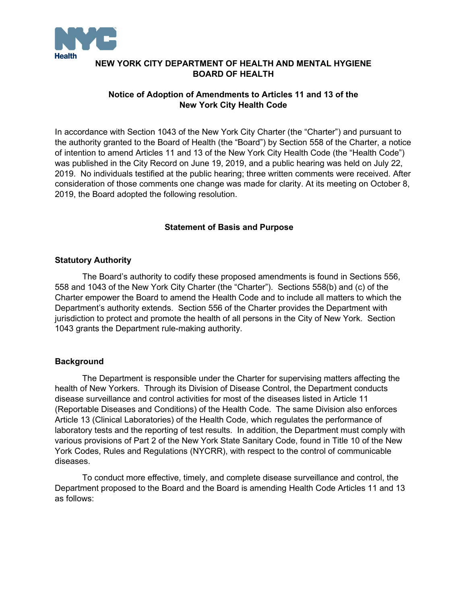

# **NEW YORK CITY DEPARTMENT OF HEALTH AND MENTAL HYGIENE BOARD OF HEALTH**

# **Notice of Adoption of Amendments to Articles 11 and 13 of the New York City Health Code**

In accordance with Section 1043 of the New York City Charter (the "Charter") and pursuant to the authority granted to the Board of Health (the "Board") by Section 558 of the Charter, a notice of intention to amend Articles 11 and 13 of the New York City Health Code (the "Health Code") was published in the City Record on June 19, 2019, and a public hearing was held on July 22, 2019. No individuals testified at the public hearing; three written comments were received. After consideration of those comments one change was made for clarity. At its meeting on October 8, 2019, the Board adopted the following resolution.

## **Statement of Basis and Purpose**

## **Statutory Authority**

The Board's authority to codify these proposed amendments is found in Sections 556, 558 and 1043 of the New York City Charter (the "Charter"). Sections 558(b) and (c) of the Charter empower the Board to amend the Health Code and to include all matters to which the Department's authority extends. Section 556 of the Charter provides the Department with jurisdiction to protect and promote the health of all persons in the City of New York. Section 1043 grants the Department rule-making authority.

## **Background**

The Department is responsible under the Charter for supervising matters affecting the health of New Yorkers. Through its Division of Disease Control, the Department conducts disease surveillance and control activities for most of the diseases listed in Article 11 (Reportable Diseases and Conditions) of the Health Code. The same Division also enforces Article 13 (Clinical Laboratories) of the Health Code, which regulates the performance of laboratory tests and the reporting of test results. In addition, the Department must comply with various provisions of Part 2 of the New York State Sanitary Code, found in Title 10 of the New York Codes, Rules and Regulations (NYCRR), with respect to the control of communicable diseases.

To conduct more effective, timely, and complete disease surveillance and control, the Department proposed to the Board and the Board is amending Health Code Articles 11 and 13 as follows: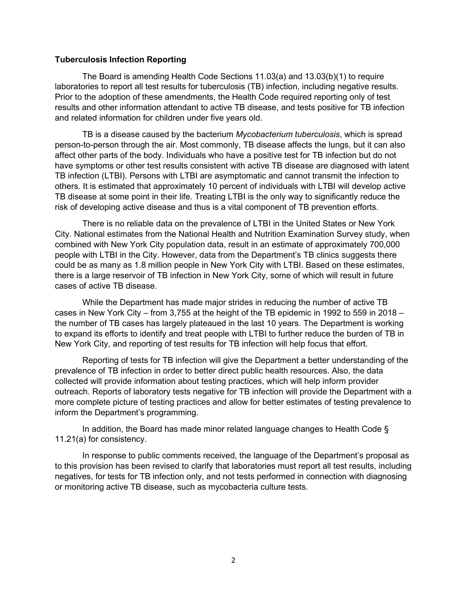### **Tuberculosis Infection Reporting**

The Board is amending Health Code Sections 11.03(a) and 13.03(b)(1) to require laboratories to report all test results for tuberculosis (TB) infection, including negative results. Prior to the adoption of these amendments, the Health Code required reporting only of test results and other information attendant to active TB disease, and tests positive for TB infection and related information for children under five years old.

TB is a disease caused by the bacterium *Mycobacterium tuberculosis*, which is spread person-to-person through the air. Most commonly, TB disease affects the lungs, but it can also affect other parts of the body. Individuals who have a positive test for TB infection but do not have symptoms or other test results consistent with active TB disease are diagnosed with latent TB infection (LTBI). Persons with LTBI are asymptomatic and cannot transmit the infection to others. It is estimated that approximately 10 percent of individuals with LTBI will develop active TB disease at some point in their life. Treating LTBI is the only way to significantly reduce the risk of developing active disease and thus is a vital component of TB prevention efforts.

There is no reliable data on the prevalence of LTBI in the United States or New York City. National estimates from the National Health and Nutrition Examination Survey study, when combined with New York City population data, result in an estimate of approximately 700,000 people with LTBI in the City. However, data from the Department's TB clinics suggests there could be as many as 1.8 million people in New York City with LTBI. Based on these estimates, there is a large reservoir of TB infection in New York City, some of which will result in future cases of active TB disease.

While the Department has made major strides in reducing the number of active TB cases in New York City – from 3,755 at the height of the TB epidemic in 1992 to 559 in 2018 – the number of TB cases has largely plateaued in the last 10 years. The Department is working to expand its efforts to identify and treat people with LTBI to further reduce the burden of TB in New York City, and reporting of test results for TB infection will help focus that effort.

Reporting of tests for TB infection will give the Department a better understanding of the prevalence of TB infection in order to better direct public health resources. Also, the data collected will provide information about testing practices, which will help inform provider outreach. Reports of laboratory tests negative for TB infection will provide the Department with a more complete picture of testing practices and allow for better estimates of testing prevalence to inform the Department's programming.

In addition, the Board has made minor related language changes to Health Code § 11.21(a) for consistency.

In response to public comments received, the language of the Department's proposal as to this provision has been revised to clarify that laboratories must report all test results, including negatives, for tests for TB infection only, and not tests performed in connection with diagnosing or monitoring active TB disease, such as mycobacteria culture tests.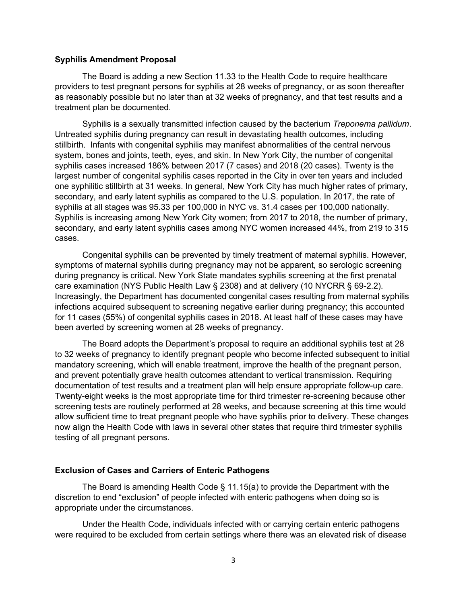### **Syphilis Amendment Proposal**

The Board is adding a new Section 11.33 to the Health Code to require healthcare providers to test pregnant persons for syphilis at 28 weeks of pregnancy, or as soon thereafter as reasonably possible but no later than at 32 weeks of pregnancy, and that test results and a treatment plan be documented.

Syphilis is a sexually transmitted infection caused by the bacterium *Treponema pallidum*. Untreated syphilis during pregnancy can result in devastating health outcomes, including stillbirth. Infants with congenital syphilis may manifest abnormalities of the central nervous system, bones and joints, teeth, eyes, and skin. In New York City, the number of congenital syphilis cases increased 186% between 2017 (7 cases) and 2018 (20 cases). Twenty is the largest number of congenital syphilis cases reported in the City in over ten years and included one syphilitic stillbirth at 31 weeks. In general, New York City has much higher rates of primary, secondary, and early latent syphilis as compared to the U.S. population. In 2017, the rate of syphilis at all stages was 95.33 per 100,000 in NYC vs. 31.4 cases per 100,000 nationally. Syphilis is increasing among New York City women; from 2017 to 2018, the number of primary, secondary, and early latent syphilis cases among NYC women increased 44%, from 219 to 315 cases.

Congenital syphilis can be prevented by timely treatment of maternal syphilis. However, symptoms of maternal syphilis during pregnancy may not be apparent, so serologic screening during pregnancy is critical. New York State mandates syphilis screening at the first prenatal care examination (NYS Public Health Law § 2308) and at delivery (10 NYCRR § 69-2.2). Increasingly, the Department has documented congenital cases resulting from maternal syphilis infections acquired subsequent to screening negative earlier during pregnancy; this accounted for 11 cases (55%) of congenital syphilis cases in 2018. At least half of these cases may have been averted by screening women at 28 weeks of pregnancy.

The Board adopts the Department's proposal to require an additional syphilis test at 28 to 32 weeks of pregnancy to identify pregnant people who become infected subsequent to initial mandatory screening, which will enable treatment, improve the health of the pregnant person, and prevent potentially grave health outcomes attendant to vertical transmission. Requiring documentation of test results and a treatment plan will help ensure appropriate follow-up care. Twenty-eight weeks is the most appropriate time for third trimester re-screening because other screening tests are routinely performed at 28 weeks, and because screening at this time would allow sufficient time to treat pregnant people who have syphilis prior to delivery. These changes now align the Health Code with laws in several other states that require third trimester syphilis testing of all pregnant persons.

#### **Exclusion of Cases and Carriers of Enteric Pathogens**

The Board is amending Health Code § 11.15(a) to provide the Department with the discretion to end "exclusion" of people infected with enteric pathogens when doing so is appropriate under the circumstances.

Under the Health Code, individuals infected with or carrying certain enteric pathogens were required to be excluded from certain settings where there was an elevated risk of disease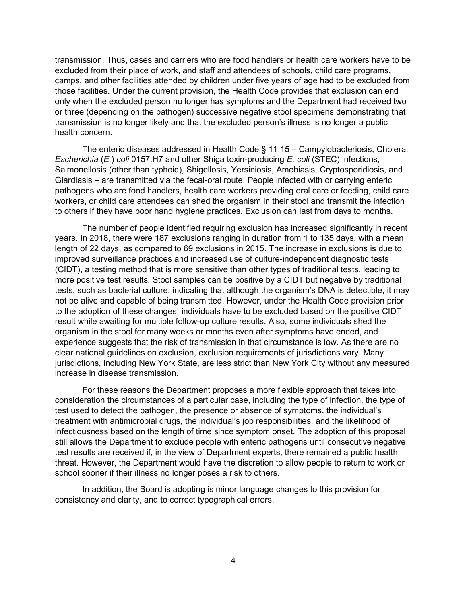transmission. Thus, cases and carriers who are food handlers or health care workers have to be excluded from their place of work, and staff and attendees of schools, child care programs, camps, and other facilities attended by children under five years of age had to be excluded from those facilities. Under the current provision, the Health Code provides that exclusion can end only when the excluded person no longer has symptoms and the Department had received two or three (depending on the pathogen) successive negative stool specimens demonstrating that transmission is no longer likely and that the excluded person's illness is no longer a public health concern.

The enteric diseases addressed in Health Code § 11.15 – Campylobacteriosis, Cholera, *Escherichia* (*E.*) *coli* 0157:H7 and other Shiga toxin-producing *E. coli* (STEC) infections, Salmonellosis (other than typhoid), Shigellosis, Yersiniosis, Amebiasis, Cryptosporidiosis, and Giardiasis – are transmitted via the fecal-oral route. People infected with or carrying enteric pathogens who are food handlers, health care workers providing oral care or feeding, child care workers, or child care attendees can shed the organism in their stool and transmit the infection to others if they have poor hand hygiene practices. Exclusion can last from days to months.

The number of people identified requiring exclusion has increased significantly in recent years. In 2018, there were 187 exclusions ranging in duration from 1 to 135 days, with a mean length of 22 days, as compared to 69 exclusions in 2015. The increase in exclusions is due to improved surveillance practices and increased use of culture-independent diagnostic tests (CIDT), a testing method that is more sensitive than other types of traditional tests, leading to more positive test results. Stool samples can be positive by a CIDT but negative by traditional tests, such as bacterial culture, indicating that although the organism's DNA is detectible, it may not be alive and capable of being transmitted. However, under the Health Code provision prior to the adoption of these changes, individuals have to be excluded based on the positive CIDT result while awaiting for multiple follow-up culture results. Also, some individuals shed the organism in the stool for many weeks or months even after symptoms have ended, and experience suggests that the risk of transmission in that circumstance is low. As there are no clear national guidelines on exclusion, exclusion requirements of jurisdictions vary. Many jurisdictions, including New York State, are less strict than New York City without any measured increase in disease transmission.

For these reasons the Department proposes a more flexible approach that takes into consideration the circumstances of a particular case, including the type of infection, the type of test used to detect the pathogen, the presence or absence of symptoms, the individual's treatment with antimicrobial drugs, the individual's job responsibilities, and the likelihood of infectiousness based on the length of time since symptom onset. The adoption of this proposal still allows the Department to exclude people with enteric pathogens until consecutive negative test results are received if, in the view of Department experts, there remained a public health threat. However, the Department would have the discretion to allow people to return to work or school sooner if their illness no longer poses a risk to others.

In addition, the Board is adopting is minor language changes to this provision for consistency and clarity, and to correct typographical errors.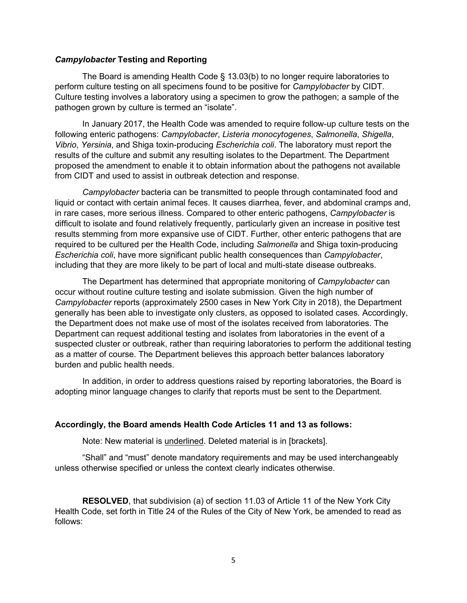### *Campylobacter* **Testing and Reporting**

The Board is amending Health Code § 13.03(b) to no longer require laboratories to perform culture testing on all specimens found to be positive for *Campylobacter* by CIDT. Culture testing involves a laboratory using a specimen to grow the pathogen; a sample of the pathogen grown by culture is termed an "isolate".

In January 2017, the Health Code was amended to require follow-up culture tests on the following enteric pathogens: *Campylobacter*, *Listeria monocytogenes*, *Salmonella*, *Shigella*, *Vibrio*, *Yersinia*, and Shiga toxin-producing *Escherichia coli*. The laboratory must report the results of the culture and submit any resulting isolates to the Department. The Department proposed the amendment to enable it to obtain information about the pathogens not available from CIDT and used to assist in outbreak detection and response.

*Campylobacter* bacteria can be transmitted to people through contaminated food and liquid or contact with certain animal feces. It causes diarrhea, fever, and abdominal cramps and, in rare cases, more serious illness. Compared to other enteric pathogens, *Campylobacter* is difficult to isolate and found relatively frequently, particularly given an increase in positive test results stemming from more expansive use of CIDT. Further, other enteric pathogens that are required to be cultured per the Health Code, including *Salmonella* and Shiga toxin-producing *Escherichia coli*, have more significant public health consequences than *Campylobacter*, including that they are more likely to be part of local and multi-state disease outbreaks.

The Department has determined that appropriate monitoring of *Campylobacter* can occur without routine culture testing and isolate submission. Given the high number of *Campylobacter* reports (approximately 2500 cases in New York City in 2018), the Department generally has been able to investigate only clusters, as opposed to isolated cases. Accordingly, the Department does not make use of most of the isolates received from laboratories. The Department can request additional testing and isolates from laboratories in the event of a suspected cluster or outbreak, rather than requiring laboratories to perform the additional testing as a matter of course. The Department believes this approach better balances laboratory burden and public health needs.

In addition, in order to address questions raised by reporting laboratories, the Board is adopting minor language changes to clarify that reports must be sent to the Department.

#### **Accordingly, the Board amends Health Code Articles 11 and 13 as follows:**

Note: New material is underlined. Deleted material is in [brackets].

"Shall" and "must" denote mandatory requirements and may be used interchangeably unless otherwise specified or unless the context clearly indicates otherwise.

**RESOLVED**, that subdivision (a) of section 11.03 of Article 11 of the New York City Health Code, set forth in Title 24 of the Rules of the City of New York, be amended to read as follows: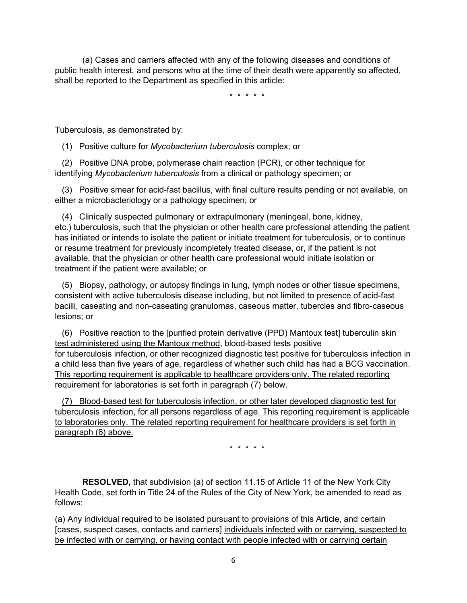(a) Cases and carriers affected with any of the following diseases and conditions of public health interest, and persons who at the time of their death were apparently so affected, shall be reported to the Department as specified in this article:

\* \* \* \* \*

Tuberculosis, as demonstrated by:

(1) Positive culture for *Mycobacterium tuberculosis* complex; or

 (2) Positive DNA probe, polymerase chain reaction (PCR), or other technique for identifying *Mycobacterium tuberculosis* from a clinical or pathology specimen; or

 (3) Positive smear for acid-fast bacillus, with final culture results pending or not available, on either a microbacteriology or a pathology specimen; or

 (4) Clinically suspected pulmonary or extrapulmonary (meningeal, bone, kidney, etc.) tuberculosis, such that the physician or other health care professional attending the patient has initiated or intends to isolate the patient or initiate treatment for tuberculosis, or to continue or resume treatment for previously incompletely treated disease, or, if the patient is not available, that the physician or other health care professional would initiate isolation or treatment if the patient were available; or

 (5) Biopsy, pathology, or autopsy findings in lung, lymph nodes or other tissue specimens, consistent with active tuberculosis disease including, but not limited to presence of acid-fast bacilli, caseating and non-caseating granulomas, caseous matter, tubercles and fibro-caseous lesions; or

 (6) Positive reaction to the [purified protein derivative (PPD) Mantoux test] tuberculin skin test administered using the Mantoux method, blood-based tests positive for tuberculosis infection, or other recognized diagnostic test positive for tuberculosis infection in a child less than five years of age, regardless of whether such child has had a BCG vaccination. This reporting requirement is applicable to healthcare providers only. The related reporting requirement for laboratories is set forth in paragraph (7) below.

 (7) Blood-based test for tuberculosis infection, or other later developed diagnostic test for tuberculosis infection, for all persons regardless of age. This reporting requirement is applicable to laboratories only. The related reporting requirement for healthcare providers is set forth in paragraph (6) above.

\* \* \* \* \*

**RESOLVED,** that subdivision (a) of section 11.15 of Article 11 of the New York City Health Code, set forth in Title 24 of the Rules of the City of New York, be amended to read as follows:

(a) Any individual required to be isolated pursuant to provisions of this Article, and certain [cases, suspect cases, contacts and carriers] individuals infected with or carrying, suspected to be infected with or carrying, or having contact with people infected with or carrying certain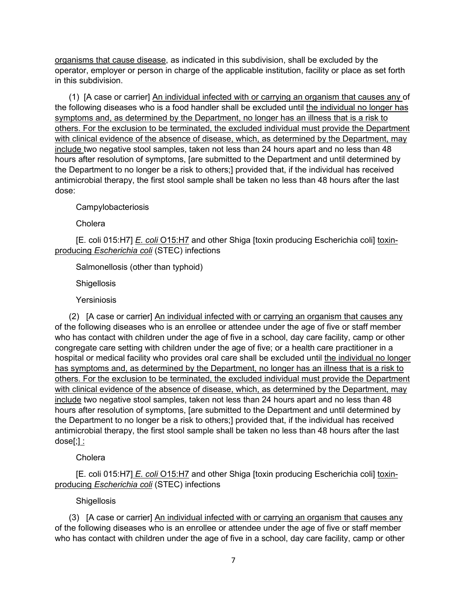organisms that cause disease, as indicated in this subdivision, shall be excluded by the operator, employer or person in charge of the applicable institution, facility or place as set forth in this subdivision.

 (1) [A case or carrier] An individual infected with or carrying an organism that causes any of the following diseases who is a food handler shall be excluded until the individual no longer has symptoms and, as determined by the Department, no longer has an illness that is a risk to others. For the exclusion to be terminated, the excluded individual must provide the Department with clinical evidence of the absence of disease, which, as determined by the Department, may include two negative stool samples, taken not less than 24 hours apart and no less than 48 hours after resolution of symptoms, [are submitted to the Department and until determined by the Department to no longer be a risk to others;] provided that, if the individual has received antimicrobial therapy, the first stool sample shall be taken no less than 48 hours after the last dose:

Campylobacteriosis

Cholera

 [E. coli 015:H7] *E. coli* O15:H7 and other Shiga [toxin producing Escherichia coli] toxinproducing *Escherichia coli* (STEC) infections

Salmonellosis (other than typhoid)

**Shigellosis** 

**Yersiniosis** 

 (2) [A case or carrier] An individual infected with or carrying an organism that causes any of the following diseases who is an enrollee or attendee under the age of five or staff member who has contact with children under the age of five in a school, day care facility, camp or other congregate care setting with children under the age of five; or a health care practitioner in a hospital or medical facility who provides oral care shall be excluded until the individual no longer has symptoms and, as determined by the Department, no longer has an illness that is a risk to others. For the exclusion to be terminated, the excluded individual must provide the Department with clinical evidence of the absence of disease, which, as determined by the Department, may include two negative stool samples, taken not less than 24 hours apart and no less than 48 hours after resolution of symptoms, [are submitted to the Department and until determined by the Department to no longer be a risk to others;] provided that, if the individual has received antimicrobial therapy, the first stool sample shall be taken no less than 48 hours after the last dose[;] :

## Cholera

 [E. coli 015:H7] *E. coli* O15:H7 and other Shiga [toxin producing Escherichia coli] toxinproducing *Escherichia coli* (STEC) infections

## **Shigellosis**

 (3) [A case or carrier] An individual infected with or carrying an organism that causes any of the following diseases who is an enrollee or attendee under the age of five or staff member who has contact with children under the age of five in a school, day care facility, camp or other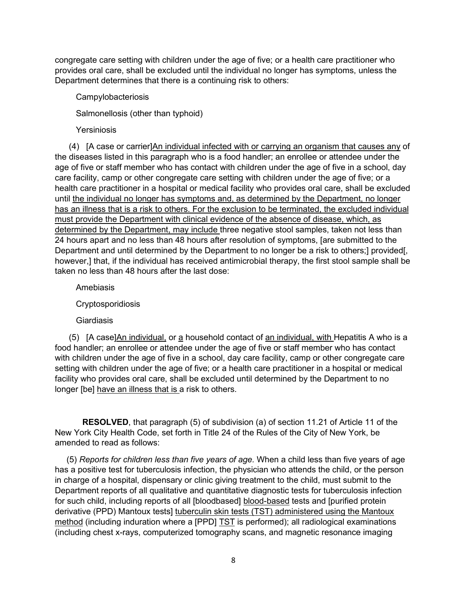congregate care setting with children under the age of five; or a health care practitioner who provides oral care, shall be excluded until the individual no longer has symptoms, unless the Department determines that there is a continuing risk to others:

**Campylobacteriosis** 

Salmonellosis (other than typhoid)

**Yersiniosis** 

(4) [A case or carrier]An individual infected with or carrying an organism that causes any of the diseases listed in this paragraph who is a food handler; an enrollee or attendee under the age of five or staff member who has contact with children under the age of five in a school, day care facility, camp or other congregate care setting with children under the age of five; or a health care practitioner in a hospital or medical facility who provides oral care, shall be excluded until the individual no longer has symptoms and, as determined by the Department, no longer has an illness that is a risk to others. For the exclusion to be terminated, the excluded individual must provide the Department with clinical evidence of the absence of disease, which, as determined by the Department, may include three negative stool samples, taken not less than 24 hours apart and no less than 48 hours after resolution of symptoms, [are submitted to the Department and until determined by the Department to no longer be a risk to others;] provided[, however,] that, if the individual has received antimicrobial therapy, the first stool sample shall be taken no less than 48 hours after the last dose:

Amebiasis

**Cryptosporidiosis** 

Giardiasis

 (5) [A case]An individual, or a household contact of an individual, with Hepatitis A who is a food handler; an enrollee or attendee under the age of five or staff member who has contact with children under the age of five in a school, day care facility, camp or other congregate care setting with children under the age of five; or a health care practitioner in a hospital or medical facility who provides oral care, shall be excluded until determined by the Department to no longer [be] have an illness that is a risk to others.

**RESOLVED**, that paragraph (5) of subdivision (a) of section 11.21 of Article 11 of the New York City Health Code, set forth in Title 24 of the Rules of the City of New York, be amended to read as follows:

 (5) *Reports for children less than five years of age.* When a child less than five years of age has a positive test for tuberculosis infection, the physician who attends the child, or the person in charge of a hospital, dispensary or clinic giving treatment to the child, must submit to the Department reports of all qualitative and quantitative diagnostic tests for tuberculosis infection for such child, including reports of all [bloodbased] blood-based tests and [purified protein derivative (PPD) Mantoux tests] tuberculin skin tests (TST) administered using the Mantoux method (including induration where a [PPD] TST is performed); all radiological examinations (including chest x-rays, computerized tomography scans, and magnetic resonance imaging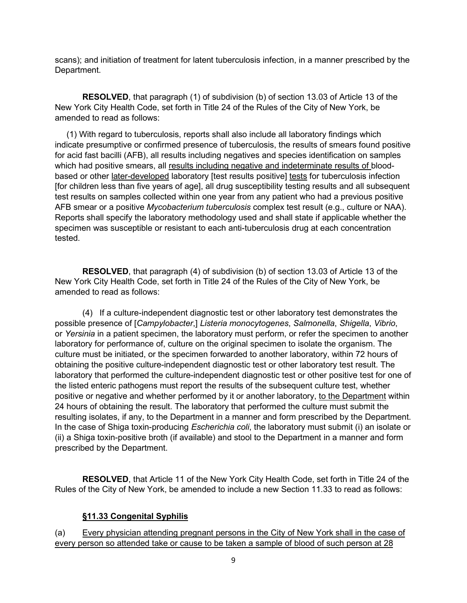scans); and initiation of treatment for latent tuberculosis infection, in a manner prescribed by the Department.

**RESOLVED**, that paragraph (1) of subdivision (b) of section 13.03 of Article 13 of the New York City Health Code, set forth in Title 24 of the Rules of the City of New York, be amended to read as follows:

 (1) With regard to tuberculosis, reports shall also include all laboratory findings which indicate presumptive or confirmed presence of tuberculosis, the results of smears found positive for acid fast bacilli (AFB), all results including negatives and species identification on samples which had positive smears, all results including negative and indeterminate results of bloodbased or other later-developed laboratory [test results positive] tests for tuberculosis infection [for children less than five years of age], all drug susceptibility testing results and all subsequent test results on samples collected within one year from any patient who had a previous positive AFB smear or a positive *Mycobacterium tuberculosis* complex test result (e.g., culture or NAA). Reports shall specify the laboratory methodology used and shall state if applicable whether the specimen was susceptible or resistant to each anti-tuberculosis drug at each concentration tested.

**RESOLVED**, that paragraph (4) of subdivision (b) of section 13.03 of Article 13 of the New York City Health Code, set forth in Title 24 of the Rules of the City of New York, be amended to read as follows:

(4) If a culture-independent diagnostic test or other laboratory test demonstrates the possible presence of [*Campylobacter*,] *Listeria monocytogenes*, *Salmonella*, *Shigella*, *Vibrio*, or *Yersinia* in a patient specimen, the laboratory must perform, or refer the specimen to another laboratory for performance of, culture on the original specimen to isolate the organism. The culture must be initiated, or the specimen forwarded to another laboratory, within 72 hours of obtaining the positive culture-independent diagnostic test or other laboratory test result. The laboratory that performed the culture-independent diagnostic test or other positive test for one of the listed enteric pathogens must report the results of the subsequent culture test, whether positive or negative and whether performed by it or another laboratory, to the Department within 24 hours of obtaining the result. The laboratory that performed the culture must submit the resulting isolates, if any, to the Department in a manner and form prescribed by the Department. In the case of Shiga toxin-producing *Escherichia coli*, the laboratory must submit (i) an isolate or (ii) a Shiga toxin-positive broth (if available) and stool to the Department in a manner and form prescribed by the Department.

**RESOLVED**, that Article 11 of the New York City Health Code, set forth in Title 24 of the Rules of the City of New York, be amended to include a new Section 11.33 to read as follows:

# **§11.33 Congenital Syphilis**

(a) Every physician attending pregnant persons in the City of New York shall in the case of every person so attended take or cause to be taken a sample of blood of such person at 28